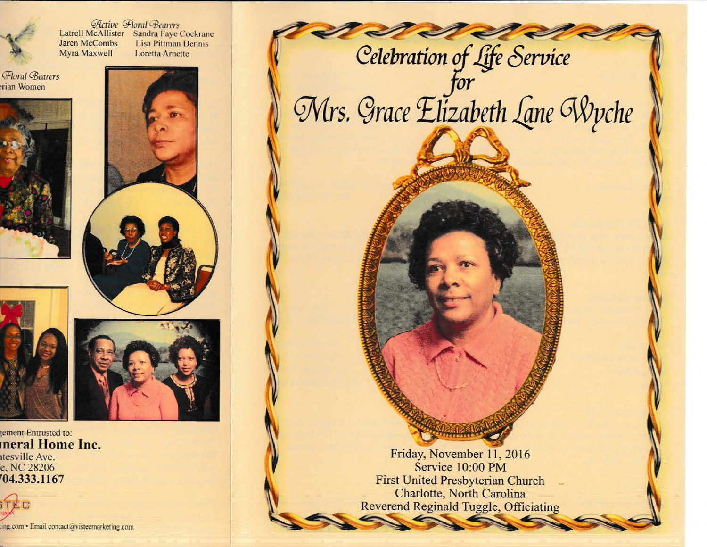

*Active Horal Bearers* Latrell McAllister Sandra Faye Cockrane Jaren McCombs Lisa Pittman Dennis Myra Maxwell Loretta Arnette

*Gioral GBearers* ·rian Women







ement Entrusted to: **meral Home Inc.**  ttesville Ave. c, NC 28206 **'04.333.1167** 



.ing.com • Email contact@vistecmarkeling.com



Friday, November 11, 2016 Service 10:00 PM First United Presbyterian Church Charlotte, North Carolina Reverend Reginald Tuggle, Officiating Charlotte, No<br>Reverend Reginald